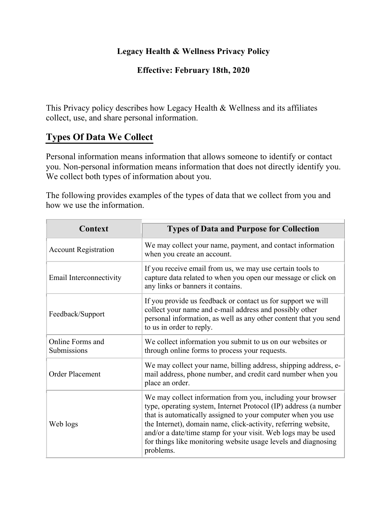#### **Legacy Health & Wellness Privacy Policy**

#### **Effective: February 18th, 2020**

This Privacy policy describes how Legacy Health & Wellness and its affiliates collect, use, and share personal information.

#### **Types Of Data We Collect**

Personal information means information that allows someone to identify or contact you. Non-personal information means information that does not directly identify you. We collect both types of information about you.

The following provides examples of the types of data that we collect from you and how we use the information.

| <b>Context</b>                  | <b>Types of Data and Purpose for Collection</b>                                                                                                                                                                                                                                                                                                                                                                   |
|---------------------------------|-------------------------------------------------------------------------------------------------------------------------------------------------------------------------------------------------------------------------------------------------------------------------------------------------------------------------------------------------------------------------------------------------------------------|
| <b>Account Registration</b>     | We may collect your name, payment, and contact information<br>when you create an account.                                                                                                                                                                                                                                                                                                                         |
| Email Interconnectivity         | If you receive email from us, we may use certain tools to<br>capture data related to when you open our message or click on<br>any links or banners it contains.                                                                                                                                                                                                                                                   |
| Feedback/Support                | If you provide us feedback or contact us for support we will<br>collect your name and e-mail address and possibly other<br>personal information, as well as any other content that you send<br>to us in order to reply.                                                                                                                                                                                           |
| Online Forms and<br>Submissions | We collect information you submit to us on our websites or<br>through online forms to process your requests.                                                                                                                                                                                                                                                                                                      |
| Order Placement                 | We may collect your name, billing address, shipping address, e-<br>mail address, phone number, and credit card number when you<br>place an order.                                                                                                                                                                                                                                                                 |
| Web logs                        | We may collect information from you, including your browser<br>type, operating system, Internet Protocol (IP) address (a number<br>that is automatically assigned to your computer when you use<br>the Internet), domain name, click-activity, referring website,<br>and/or a date/time stamp for your visit. Web logs may be used<br>for things like monitoring website usage levels and diagnosing<br>problems. |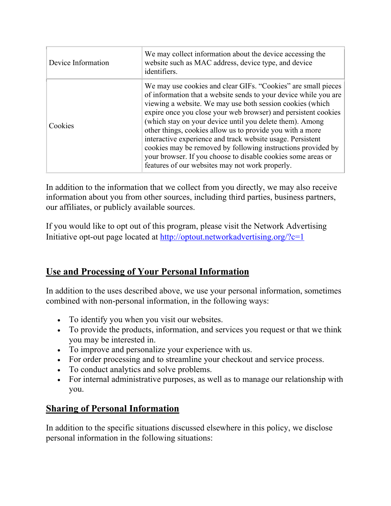| Device Information | We may collect information about the device accessing the<br>website such as MAC address, device type, and device<br>identifiers.                                                                                                                                                                                                                                                                                                                                                                                                                                                                                                          |
|--------------------|--------------------------------------------------------------------------------------------------------------------------------------------------------------------------------------------------------------------------------------------------------------------------------------------------------------------------------------------------------------------------------------------------------------------------------------------------------------------------------------------------------------------------------------------------------------------------------------------------------------------------------------------|
| Cookies            | We may use cookies and clear GIFs. "Cookies" are small pieces<br>of information that a website sends to your device while you are<br>viewing a website. We may use both session cookies (which<br>expire once you close your web browser) and persistent cookies<br>(which stay on your device until you delete them). Among<br>other things, cookies allow us to provide you with a more<br>interactive experience and track website usage. Persistent<br>cookies may be removed by following instructions provided by<br>your browser. If you choose to disable cookies some areas or<br>features of our websites may not work properly. |

In addition to the information that we collect from you directly, we may also receive information about you from other sources, including third parties, business partners, our affiliates, or publicly available sources.

If you would like to opt out of this program, please visit the Network Advertising Initiative opt-out page located at http://optout.networkadvertising.org/?c=1

# **Use and Processing of Your Personal Information**

In addition to the uses described above, we use your personal information, sometimes combined with non-personal information, in the following ways:

- To identify you when you visit our websites.
- To provide the products, information, and services you request or that we think you may be interested in.
- To improve and personalize your experience with us.
- For order processing and to streamline your checkout and service process.
- To conduct analytics and solve problems.
- For internal administrative purposes, as well as to manage our relationship with you.

## **Sharing of Personal Information**

In addition to the specific situations discussed elsewhere in this policy, we disclose personal information in the following situations: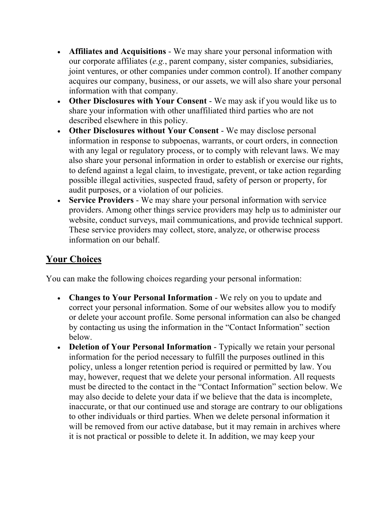- **Affiliates and Acquisitions** We may share your personal information with our corporate affiliates (*e.g.*, parent company, sister companies, subsidiaries, joint ventures, or other companies under common control). If another company acquires our company, business, or our assets, we will also share your personal information with that company.
- **Other Disclosures with Your Consent** We may ask if you would like us to share your information with other unaffiliated third parties who are not described elsewhere in this policy.
- **Other Disclosures without Your Consent** We may disclose personal information in response to subpoenas, warrants, or court orders, in connection with any legal or regulatory process, or to comply with relevant laws. We may also share your personal information in order to establish or exercise our rights, to defend against a legal claim, to investigate, prevent, or take action regarding possible illegal activities, suspected fraud, safety of person or property, for audit purposes, or a violation of our policies.
- **Service Providers** We may share your personal information with service providers. Among other things service providers may help us to administer our website, conduct surveys, mail communications, and provide technical support. These service providers may collect, store, analyze, or otherwise process information on our behalf.

## **Your Choices**

You can make the following choices regarding your personal information:

- **Changes to Your Personal Information** We rely on you to update and correct your personal information. Some of our websites allow you to modify or delete your account profile. Some personal information can also be changed by contacting us using the information in the "Contact Information" section below.
- **Deletion of Your Personal Information** Typically we retain your personal information for the period necessary to fulfill the purposes outlined in this policy, unless a longer retention period is required or permitted by law. You may, however, request that we delete your personal information. All requests must be directed to the contact in the "Contact Information" section below. We may also decide to delete your data if we believe that the data is incomplete, inaccurate, or that our continued use and storage are contrary to our obligations to other individuals or third parties. When we delete personal information it will be removed from our active database, but it may remain in archives where it is not practical or possible to delete it. In addition, we may keep your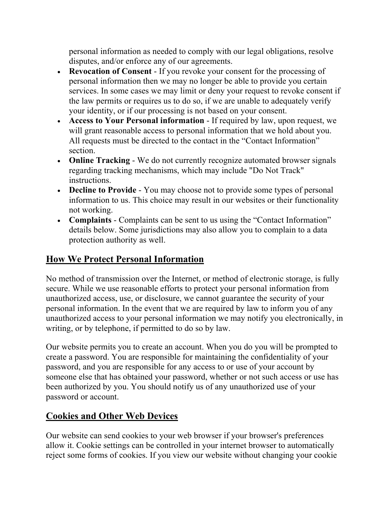personal information as needed to comply with our legal obligations, resolve disputes, and/or enforce any of our agreements.

- **Revocation of Consent** If you revoke your consent for the processing of personal information then we may no longer be able to provide you certain services. In some cases we may limit or deny your request to revoke consent if the law permits or requires us to do so, if we are unable to adequately verify your identity, or if our processing is not based on your consent.
- **Access to Your Personal information** If required by law, upon request, we will grant reasonable access to personal information that we hold about you. All requests must be directed to the contact in the "Contact Information" section.
- **Online Tracking** We do not currently recognize automated browser signals regarding tracking mechanisms, which may include "Do Not Track" instructions.
- **Decline to Provide** You may choose not to provide some types of personal information to us. This choice may result in our websites or their functionality not working.
- **Complaints** Complaints can be sent to us using the "Contact Information" details below. Some jurisdictions may also allow you to complain to a data protection authority as well.

## **How We Protect Personal Information**

No method of transmission over the Internet, or method of electronic storage, is fully secure. While we use reasonable efforts to protect your personal information from unauthorized access, use, or disclosure, we cannot guarantee the security of your personal information. In the event that we are required by law to inform you of any unauthorized access to your personal information we may notify you electronically, in writing, or by telephone, if permitted to do so by law.

Our website permits you to create an account. When you do you will be prompted to create a password. You are responsible for maintaining the confidentiality of your password, and you are responsible for any access to or use of your account by someone else that has obtained your password, whether or not such access or use has been authorized by you. You should notify us of any unauthorized use of your password or account.

## **Cookies and Other Web Devices**

Our website can send cookies to your web browser if your browser's preferences allow it. Cookie settings can be controlled in your internet browser to automatically reject some forms of cookies. If you view our website without changing your cookie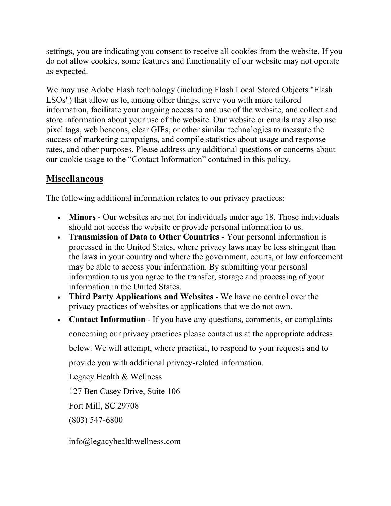settings, you are indicating you consent to receive all cookies from the website. If you do not allow cookies, some features and functionality of our website may not operate as expected.

We may use Adobe Flash technology (including Flash Local Stored Objects "Flash LSOs") that allow us to, among other things, serve you with more tailored information, facilitate your ongoing access to and use of the website, and collect and store information about your use of the website. Our website or emails may also use pixel tags, web beacons, clear GIFs, or other similar technologies to measure the success of marketing campaigns, and compile statistics about usage and response rates, and other purposes. Please address any additional questions or concerns about our cookie usage to the "Contact Information" contained in this policy.

## **Miscellaneous**

The following additional information relates to our privacy practices:

- **Minors** Our websites are not for individuals under age 18. Those individuals should not access the website or provide personal information to us.
- T**ransmission of Data to Other Countries** Your personal information is processed in the United States, where privacy laws may be less stringent than the laws in your country and where the government, courts, or law enforcement may be able to access your information. By submitting your personal information to us you agree to the transfer, storage and processing of your information in the United States.
- **Third Party Applications and Websites** We have no control over the privacy practices of websites or applications that we do not own.
- **Contact Information** If you have any questions, comments, or complaints concerning our privacy practices please contact us at the appropriate address below. We will attempt, where practical, to respond to your requests and to provide you with additional privacy-related information.

Legacy Health & Wellness

127 Ben Casey Drive, Suite 106

Fort Mill, SC 29708

(803) 547-6800

info@legacyhealthwellness.com